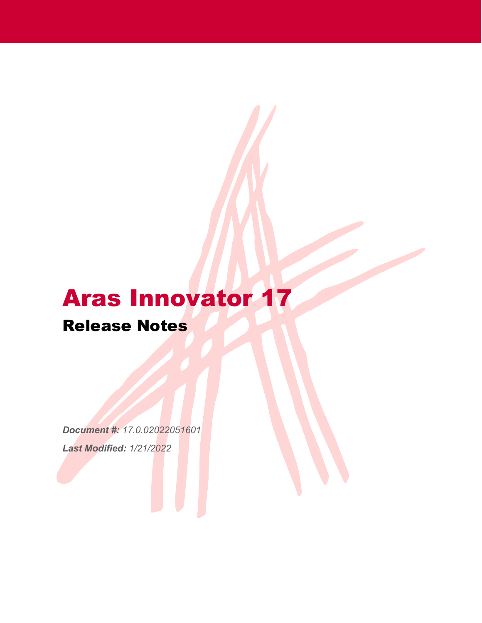# Aras Innovator 17

# Release Notes

*Document #: 17.0.02022051601 Last Modified: 1/21/2022*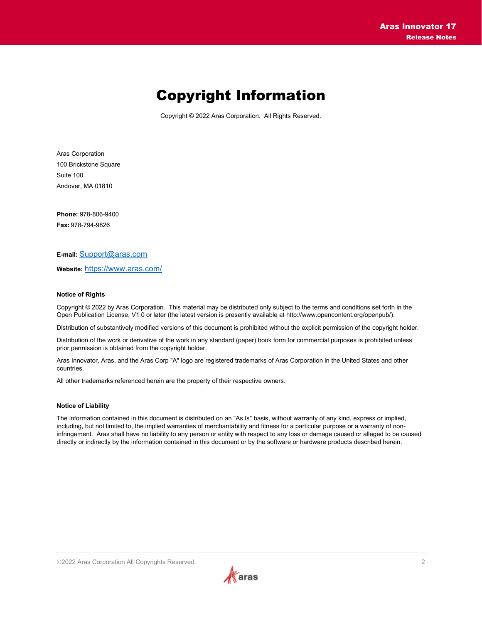# Copyright Information

Copyright © 2022 Aras Corporation. All Rights Reserved.

Aras Corporation 100 Brickstone Square Suite 100 Andover, MA 01810

**Phone:** 978-806-9400 **Fax:** 978-794-9826

**E-mail:** Support@aras.com

**Website:** <https://www.aras.com/>

#### **Notice of Rights**

Copyright © 2022 by Aras Corporation. This material may be distributed only subject to the terms and conditions set forth in the Open Publication License, V1.0 or later (the latest version is presently available at http://www.opencontent.org/openpub/).

Distribution of substantively modified versions of this document is prohibited without the explicit permission of the copyright holder.

Distribution of the work or derivative of the work in any standard (paper) book form for commercial purposes is prohibited unless prior permission is obtained from the copyright holder.

Aras Innovator, Aras, and the Aras Corp "A" logo are registered trademarks of Aras Corporation in the United States and other countries.

All other trademarks referenced herein are the property of their respective owners.

#### **Notice of Liability**

The information contained in this document is distributed on an "As Is" basis, without warranty of any kind, express or implied, including, but not limited to, the implied warranties of merchantability and fitness for a particular purpose or a warranty of noninfringement. Aras shall have no liability to any person or entity with respect to any loss or damage caused or alleged to be caused directly or indirectly by the information contained in this document or by the software or hardware products described herein.

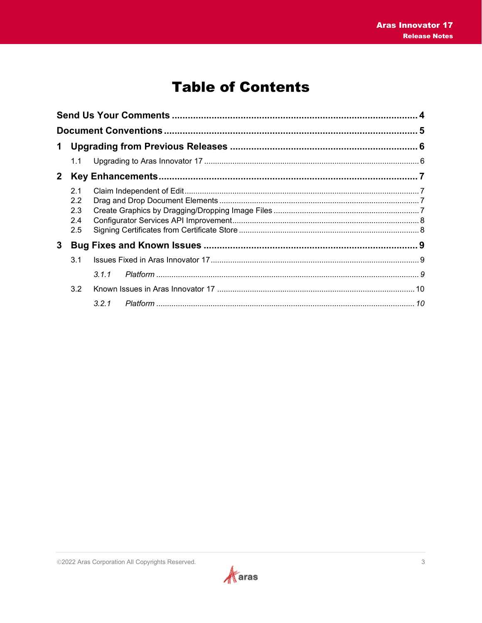# **Table of Contents**

| 1.1                                       |       |  |  |
|-------------------------------------------|-------|--|--|
|                                           |       |  |  |
| 2.1<br>$2.2^{\circ}$<br>2.3<br>2.4<br>2.5 |       |  |  |
|                                           |       |  |  |
| 3.1                                       |       |  |  |
|                                           | 3.1.1 |  |  |
| 3.2                                       |       |  |  |
|                                           | 3.2.1 |  |  |
|                                           |       |  |  |

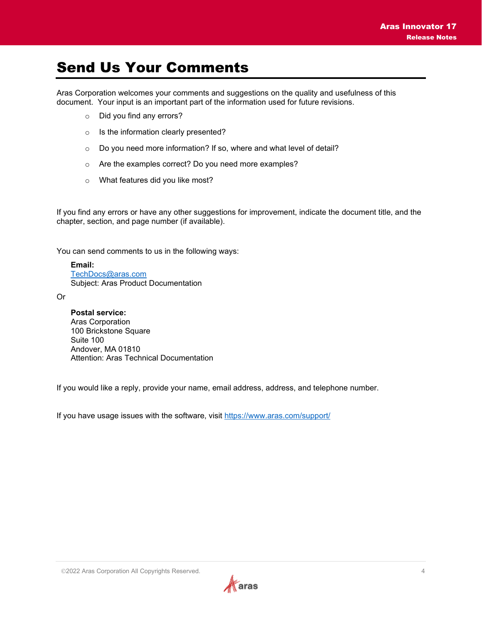# <span id="page-3-0"></span>Send Us Your Comments

Aras Corporation welcomes your comments and suggestions on the quality and usefulness of this document. Your input is an important part of the information used for future revisions.

- o Did you find any errors?
- o Is the information clearly presented?
- o Do you need more information? If so, where and what level of detail?
- o Are the examples correct? Do you need more examples?
- o What features did you like most?

If you find any errors or have any other suggestions for improvement, indicate the document title, and the chapter, section, and page number (if available).

You can send comments to us in the following ways:

**Email:** [TechDocs@aras.com](mailto:TechDocs@aras.com) Subject: Aras Product Documentation

Or

**Postal service:** Aras Corporation 100 Brickstone Square Suite 100 Andover, MA 01810 Attention: Aras Technical Documentation

If you would like a reply, provide your name, email address, address, and telephone number.

If you have usage issues with the software, visit<https://www.aras.com/support/>

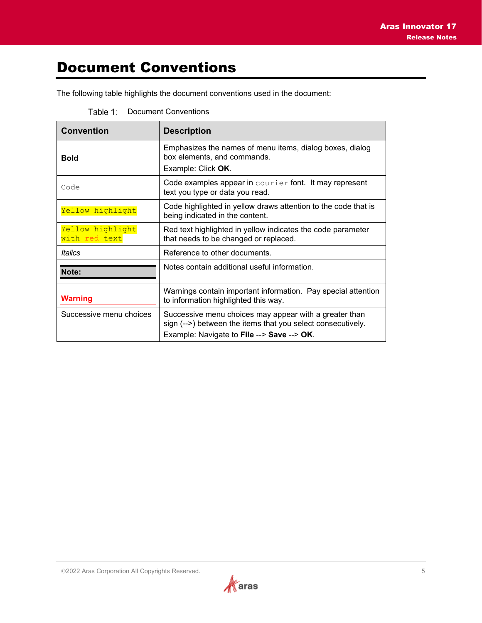# <span id="page-4-0"></span>Document Conventions

Table 1: Document Conventions

**Warning**

| <b>Convention</b>                 | <b>Description</b>                                                                                            |
|-----------------------------------|---------------------------------------------------------------------------------------------------------------|
| <b>Bold</b>                       | Emphasizes the names of menu items, dialog boxes, dialog<br>box elements, and commands.<br>Example: Click OK. |
| Code                              | Code examples appear in courier font. It may represent<br>text you type or data you read.                     |
| Yellow highlight                  | Code highlighted in yellow draws attention to the code that is<br>being indicated in the content.             |
| Yellow highlight<br>with red text | Red text highlighted in yellow indicates the code parameter<br>that needs to be changed or replaced.          |
| <i><u><b>Italics</b></u></i>      | Reference to other documents.                                                                                 |

to information highlighted this way.

Example: Navigate to **File** --> **Save** --> **OK**.

Successive menu choices  $\vert$  Successive menu choices may appear with a greater than

Warnings contain important information. Pay special attention

sign (-->) between the items that you select consecutively.

**Note:** Notes contain additional useful information.

The following table highlights the document conventions used in the document:

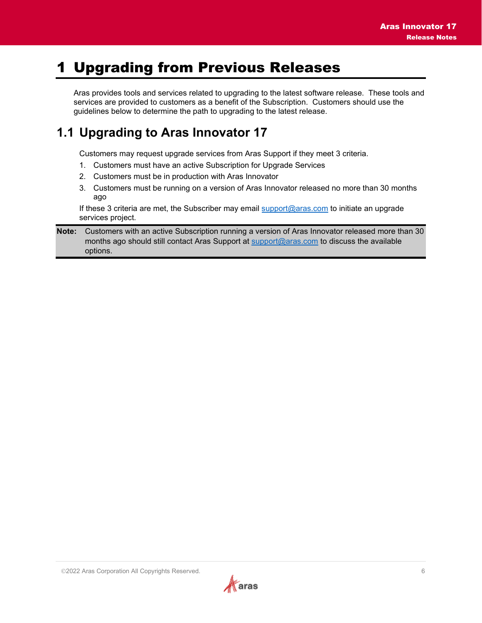# <span id="page-5-0"></span>1 Upgrading from Previous Releases

Aras provides tools and services related to upgrading to the latest software release. These tools and services are provided to customers as a benefit of the Subscription. Customers should use the guidelines below to determine the path to upgrading to the latest release.

### <span id="page-5-1"></span>**1.1 Upgrading to Aras Innovator 17**

Customers may request upgrade services from Aras Support if they meet 3 criteria.

- 1. Customers must have an active Subscription for Upgrade Services
- 2. Customers must be in production with Aras Innovator
- 3. Customers must be running on a version of Aras Innovator released no more than 30 months ago

If these 3 criteria are met, the Subscriber may email [support@aras.com](mailto:support@aras.com) to initiate an upgrade services project.

**Note:** Customers with an active Subscription running a version of Aras Innovator released more than 30 months ago should still contact Aras Support at [support@aras.com](mailto:support@aras.com) to discuss the available options.

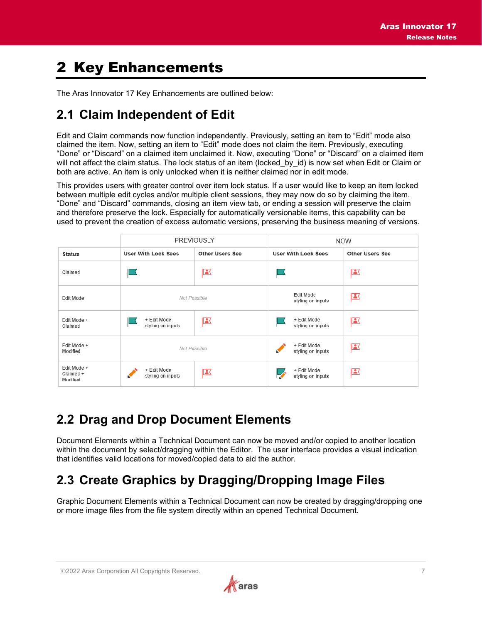# <span id="page-6-0"></span>2 Key Enhancements

The Aras Innovator 17 Key Enhancements are outlined below:

#### <span id="page-6-1"></span>**2.1 Claim Independent of Edit**

Edit and Claim commands now function independently. Previously, setting an item to "Edit" mode also claimed the item. Now, setting an item to "Edit" mode does not claim the item. Previously, executing "Done" or "Discard" on a claimed item unclaimed it. Now, executing "Done" or "Discard" on a claimed item will not affect the claim status. The lock status of an item (locked by id) is now set when Edit or Claim or both are active. An item is only unlocked when it is neither claimed nor in edit mode.

This provides users with greater control over item lock status. If a user would like to keep an item locked between multiple edit cycles and/or multiple client sessions, they may now do so by claiming the item. "Done" and "Discard" commands, closing an item view tab, or ending a session will preserve the claim and therefore preserve the lock. Especially for automatically versionable items, this capability can be used to prevent the creation of excess automatic versions, preserving the business meaning of versions.

|                                      | <b>PREVIOUSLY</b>                |                        | <b>NOW</b> |                                  |                        |
|--------------------------------------|----------------------------------|------------------------|------------|----------------------------------|------------------------|
| <b>Status</b>                        | <b>User With Lock Sees</b>       | <b>Other Users See</b> |            | <b>User With Lock Sees</b>       | <b>Other Users See</b> |
| Claimed                              |                                  | $\mathbf{E}$           |            |                                  | $\mathbf{E}$           |
| Edit Mode                            | Not Possible                     |                        |            | Edit Mode<br>styling on inputs   | $\mathbf{E}$           |
| Edit Mode +<br>Claimed               | + Edit Mode<br>styling on inputs | $\mathbf{E}$           |            | + Edit Mode<br>styling on inputs | $\mathbf{E}$           |
| Edit Mode +<br>Modified              | Not Possible                     |                        | w          | + Edit Mode<br>styling on inputs | $\mathbf{E}$           |
| Edit Mode +<br>Claimed +<br>Modified | + Edit Mode<br>styling on inputs | $\mathbf{E}$           |            | + Edit Mode<br>styling on inputs | $\mathbf{E}$           |

#### <span id="page-6-2"></span>**2.2 Drag and Drop Document Elements**

Document Elements within a Technical Document can now be moved and/or copied to another location within the document by select/dragging within the Editor. The user interface provides a visual indication that identifies valid locations for moved/copied data to aid the author.

### <span id="page-6-3"></span>**2.3 Create Graphics by Dragging/Dropping Image Files**

Graphic Document Elements within a Technical Document can now be created by dragging/dropping one or more image files from the file system directly within an opened Technical Document.

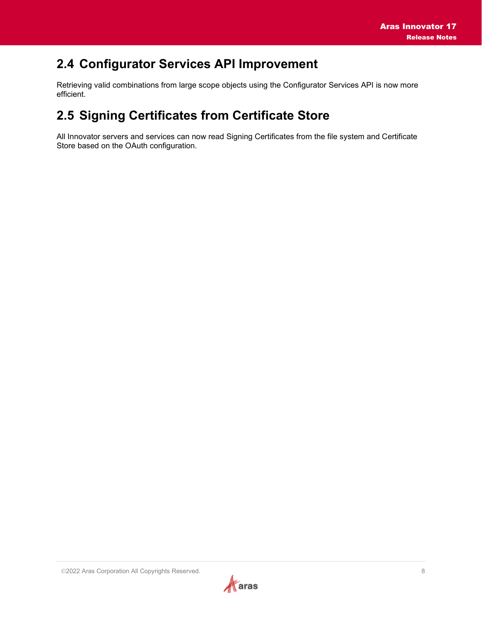#### <span id="page-7-0"></span>**2.4 Configurator Services API Improvement**

Retrieving valid combinations from large scope objects using the Configurator Services API is now more efficient.

### <span id="page-7-1"></span>**2.5 Signing Certificates from Certificate Store**

All Innovator servers and services can now read Signing Certificates from the file system and Certificate Store based on the OAuth configuration.

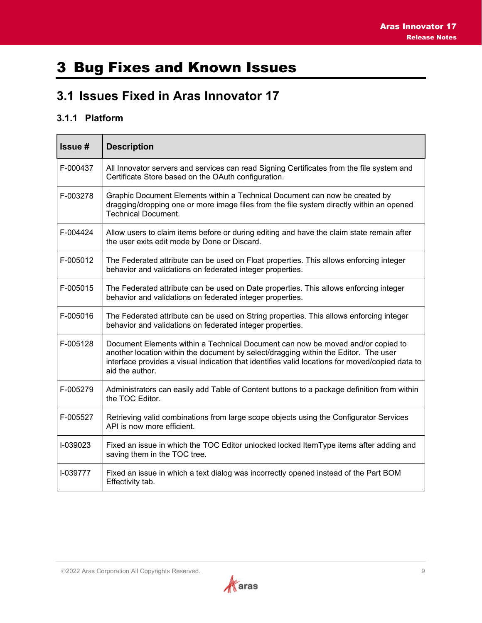# <span id="page-8-0"></span>3 Bug Fixes and Known Issues

#### <span id="page-8-1"></span>**3.1 Issues Fixed in Aras Innovator 17**

#### <span id="page-8-2"></span>**3.1.1 Platform**

| Issue #  | <b>Description</b>                                                                                                                                                                                                                                                                           |  |
|----------|----------------------------------------------------------------------------------------------------------------------------------------------------------------------------------------------------------------------------------------------------------------------------------------------|--|
| F-000437 | All Innovator servers and services can read Signing Certificates from the file system and<br>Certificate Store based on the OAuth configuration.                                                                                                                                             |  |
| F-003278 | Graphic Document Elements within a Technical Document can now be created by<br>dragging/dropping one or more image files from the file system directly within an opened<br><b>Technical Document.</b>                                                                                        |  |
| F-004424 | Allow users to claim items before or during editing and have the claim state remain after<br>the user exits edit mode by Done or Discard.                                                                                                                                                    |  |
| F-005012 | The Federated attribute can be used on Float properties. This allows enforcing integer<br>behavior and validations on federated integer properties.                                                                                                                                          |  |
| F-005015 | The Federated attribute can be used on Date properties. This allows enforcing integer<br>behavior and validations on federated integer properties.                                                                                                                                           |  |
| F-005016 | The Federated attribute can be used on String properties. This allows enforcing integer<br>behavior and validations on federated integer properties.                                                                                                                                         |  |
| F-005128 | Document Elements within a Technical Document can now be moved and/or copied to<br>another location within the document by select/dragging within the Editor. The user<br>interface provides a visual indication that identifies valid locations for moved/copied data to<br>aid the author. |  |
| F-005279 | Administrators can easily add Table of Content buttons to a package definition from within<br>the TOC Editor.                                                                                                                                                                                |  |
| F-005527 | Retrieving valid combinations from large scope objects using the Configurator Services<br>API is now more efficient.                                                                                                                                                                         |  |
| I-039023 | Fixed an issue in which the TOC Editor unlocked locked ItemType items after adding and<br>saving them in the TOC tree.                                                                                                                                                                       |  |
| I-039777 | Fixed an issue in which a text dialog was incorrectly opened instead of the Part BOM<br>Effectivity tab.                                                                                                                                                                                     |  |

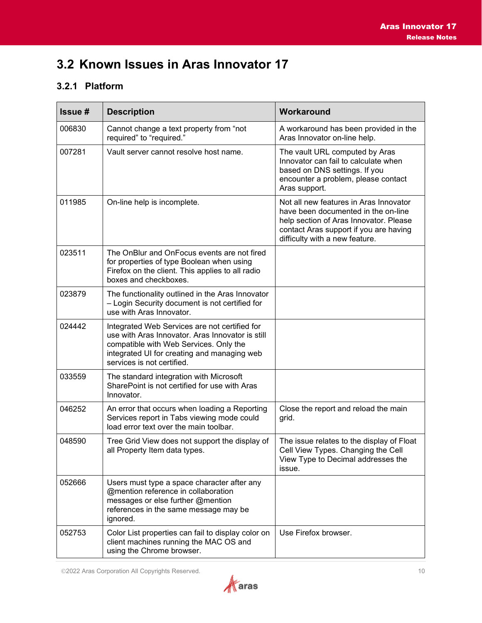# <span id="page-9-0"></span>**3.2 Known Issues in Aras Innovator 17**

#### <span id="page-9-1"></span>**3.2.1 Platform**

| Issue # | <b>Description</b>                                                                                                                                                                                                       | Workaround                                                                                                                                                                                          |
|---------|--------------------------------------------------------------------------------------------------------------------------------------------------------------------------------------------------------------------------|-----------------------------------------------------------------------------------------------------------------------------------------------------------------------------------------------------|
| 006830  | Cannot change a text property from "not<br>required" to "required."                                                                                                                                                      | A workaround has been provided in the<br>Aras Innovator on-line help.                                                                                                                               |
| 007281  | Vault server cannot resolve host name.                                                                                                                                                                                   | The vault URL computed by Aras<br>Innovator can fail to calculate when<br>based on DNS settings. If you<br>encounter a problem, please contact<br>Aras support.                                     |
| 011985  | On-line help is incomplete.                                                                                                                                                                                              | Not all new features in Aras Innovator<br>have been documented in the on-line<br>help section of Aras Innovator. Please<br>contact Aras support if you are having<br>difficulty with a new feature. |
| 023511  | The OnBlur and OnFocus events are not fired<br>for properties of type Boolean when using<br>Firefox on the client. This applies to all radio<br>boxes and checkboxes.                                                    |                                                                                                                                                                                                     |
| 023879  | The functionality outlined in the Aras Innovator<br>- Login Security document is not certified for<br>use with Aras Innovator.                                                                                           |                                                                                                                                                                                                     |
| 024442  | Integrated Web Services are not certified for<br>use with Aras Innovator. Aras Innovator is still<br>compatible with Web Services. Only the<br>integrated UI for creating and managing web<br>services is not certified. |                                                                                                                                                                                                     |
| 033559  | The standard integration with Microsoft<br>SharePoint is not certified for use with Aras<br>Innovator.                                                                                                                   |                                                                                                                                                                                                     |
| 046252  | An error that occurs when loading a Reporting<br>Services report in Tabs viewing mode could<br>load error text over the main toolbar.                                                                                    | Close the report and reload the main<br>grid.                                                                                                                                                       |
| 048590  | Tree Grid View does not support the display of<br>all Property Item data types.                                                                                                                                          | The issue relates to the display of Float<br>Cell View Types. Changing the Cell<br>View Type to Decimal addresses the<br>issue.                                                                     |
| 052666  | Users must type a space character after any<br>@mention reference in collaboration<br>messages or else further @mention<br>references in the same message may be<br>ignored.                                             |                                                                                                                                                                                                     |
| 052753  | Color List properties can fail to display color on<br>client machines running the MAC OS and<br>using the Chrome browser.                                                                                                | Use Firefox browser.                                                                                                                                                                                |

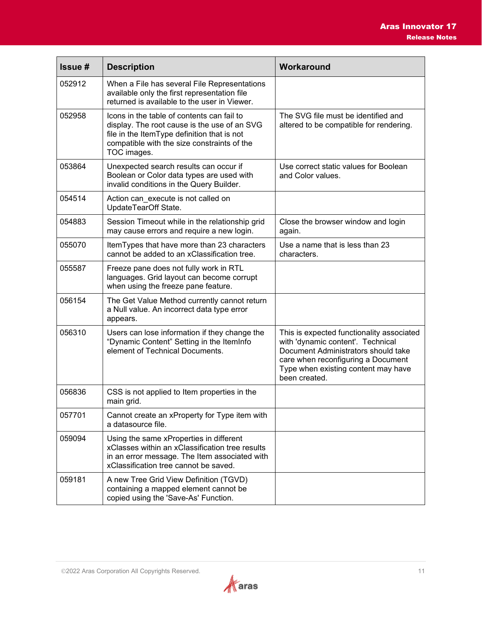| Issue # | <b>Description</b>                                                                                                                                                                                      | Workaround                                                                                                                                                                                                          |
|---------|---------------------------------------------------------------------------------------------------------------------------------------------------------------------------------------------------------|---------------------------------------------------------------------------------------------------------------------------------------------------------------------------------------------------------------------|
| 052912  | When a File has several File Representations<br>available only the first representation file<br>returned is available to the user in Viewer.                                                            |                                                                                                                                                                                                                     |
| 052958  | Icons in the table of contents can fail to<br>display. The root cause is the use of an SVG<br>file in the ItemType definition that is not<br>compatible with the size constraints of the<br>TOC images. | The SVG file must be identified and<br>altered to be compatible for rendering.                                                                                                                                      |
| 053864  | Unexpected search results can occur if<br>Boolean or Color data types are used with<br>invalid conditions in the Query Builder.                                                                         | Use correct static values for Boolean<br>and Color values.                                                                                                                                                          |
| 054514  | Action can execute is not called on<br>UpdateTearOff State.                                                                                                                                             |                                                                                                                                                                                                                     |
| 054883  | Session Timeout while in the relationship grid<br>may cause errors and require a new login.                                                                                                             | Close the browser window and login<br>again.                                                                                                                                                                        |
| 055070  | ItemTypes that have more than 23 characters<br>cannot be added to an xClassification tree.                                                                                                              | Use a name that is less than 23<br>characters.                                                                                                                                                                      |
| 055587  | Freeze pane does not fully work in RTL<br>languages. Grid layout can become corrupt<br>when using the freeze pane feature.                                                                              |                                                                                                                                                                                                                     |
| 056154  | The Get Value Method currently cannot return<br>a Null value. An incorrect data type error<br>appears.                                                                                                  |                                                                                                                                                                                                                     |
| 056310  | Users can lose information if they change the<br>"Dynamic Content" Setting in the ItemInfo<br>element of Technical Documents.                                                                           | This is expected functionality associated<br>with 'dynamic content'. Technical<br>Document Administrators should take<br>care when reconfiguring a Document<br>Type when existing content may have<br>been created. |
| 056836  | CSS is not applied to Item properties in the<br>main grid.                                                                                                                                              |                                                                                                                                                                                                                     |
| 057701  | Cannot create an xProperty for Type item with<br>a datasource file.                                                                                                                                     |                                                                                                                                                                                                                     |
| 059094  | Using the same xProperties in different<br>xClasses within an xClassification tree results<br>in an error message. The Item associated with<br>xClassification tree cannot be saved.                    |                                                                                                                                                                                                                     |
| 059181  | A new Tree Grid View Definition (TGVD)<br>containing a mapped element cannot be<br>copied using the 'Save-As' Function.                                                                                 |                                                                                                                                                                                                                     |

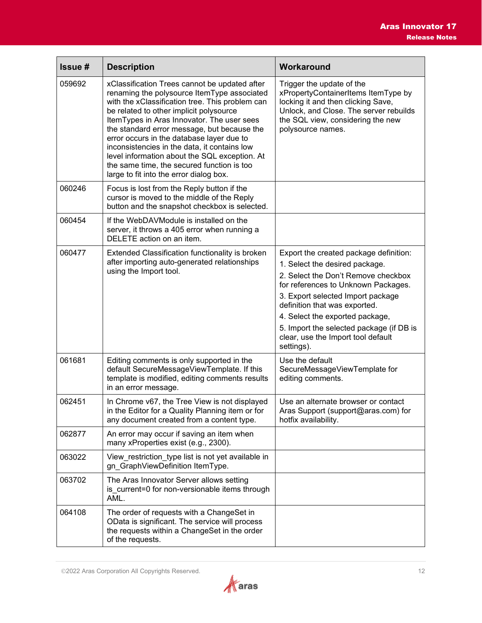| Issue # | <b>Description</b>                                                                                                                                                                                                                                                                                                                                                                                                                                                                                                             | Workaround                                                                                                                                                                                                                                                                                                                                                      |
|---------|--------------------------------------------------------------------------------------------------------------------------------------------------------------------------------------------------------------------------------------------------------------------------------------------------------------------------------------------------------------------------------------------------------------------------------------------------------------------------------------------------------------------------------|-----------------------------------------------------------------------------------------------------------------------------------------------------------------------------------------------------------------------------------------------------------------------------------------------------------------------------------------------------------------|
| 059692  | xClassification Trees cannot be updated after<br>renaming the polysource ItemType associated<br>with the xClassification tree. This problem can<br>be related to other implicit polysource<br>ItemTypes in Aras Innovator. The user sees<br>the standard error message, but because the<br>error occurs in the database layer due to<br>inconsistencies in the data, it contains low<br>level information about the SQL exception. At<br>the same time, the secured function is too<br>large to fit into the error dialog box. | Trigger the update of the<br>xPropertyContainerItems ItemType by<br>locking it and then clicking Save,<br>Unlock, and Close. The server rebuilds<br>the SQL view, considering the new<br>polysource names.                                                                                                                                                      |
| 060246  | Focus is lost from the Reply button if the<br>cursor is moved to the middle of the Reply<br>button and the snapshot checkbox is selected.                                                                                                                                                                                                                                                                                                                                                                                      |                                                                                                                                                                                                                                                                                                                                                                 |
| 060454  | If the WebDAVModule is installed on the<br>server, it throws a 405 error when running a<br>DELETE action on an item.                                                                                                                                                                                                                                                                                                                                                                                                           |                                                                                                                                                                                                                                                                                                                                                                 |
| 060477  | Extended Classification functionality is broken<br>after importing auto-generated relationships<br>using the Import tool.                                                                                                                                                                                                                                                                                                                                                                                                      | Export the created package definition:<br>1. Select the desired package.<br>2. Select the Don't Remove checkbox<br>for references to Unknown Packages.<br>3. Export selected Import package<br>definition that was exported.<br>4. Select the exported package,<br>5. Import the selected package (if DB is<br>clear, use the Import tool default<br>settings). |
| 061681  | Editing comments is only supported in the<br>default SecureMessageViewTemplate. If this<br>template is modified, editing comments results<br>in an error message.                                                                                                                                                                                                                                                                                                                                                              | Use the default<br>SecureMessageViewTemplate for<br>editing comments.                                                                                                                                                                                                                                                                                           |
| 062451  | In Chrome v67, the Tree View is not displayed<br>in the Editor for a Quality Planning item or for<br>any document created from a content type.                                                                                                                                                                                                                                                                                                                                                                                 | Use an alternate browser or contact<br>Aras Support (support@aras.com) for<br>hotfix availability.                                                                                                                                                                                                                                                              |
| 062877  | An error may occur if saving an item when<br>many xProperties exist (e.g., 2300).                                                                                                                                                                                                                                                                                                                                                                                                                                              |                                                                                                                                                                                                                                                                                                                                                                 |
| 063022  | View restriction type list is not yet available in<br>gn_GraphViewDefinition ItemType.                                                                                                                                                                                                                                                                                                                                                                                                                                         |                                                                                                                                                                                                                                                                                                                                                                 |
| 063702  | The Aras Innovator Server allows setting<br>is current=0 for non-versionable items through<br>AML.                                                                                                                                                                                                                                                                                                                                                                                                                             |                                                                                                                                                                                                                                                                                                                                                                 |
| 064108  | The order of requests with a ChangeSet in<br>OData is significant. The service will process<br>the requests within a ChangeSet in the order<br>of the requests.                                                                                                                                                                                                                                                                                                                                                                |                                                                                                                                                                                                                                                                                                                                                                 |

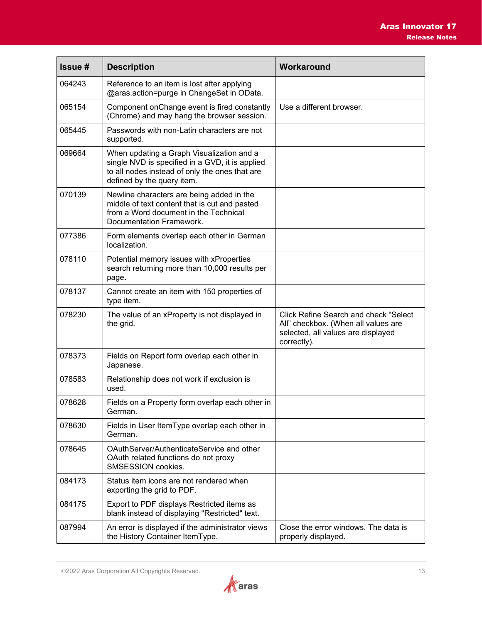| Issue # | <b>Description</b>                                                                                                                                                           | Workaround                                                                                                                               |
|---------|------------------------------------------------------------------------------------------------------------------------------------------------------------------------------|------------------------------------------------------------------------------------------------------------------------------------------|
| 064243  | Reference to an item is lost after applying<br>@aras.action=purge in ChangeSet in OData.                                                                                     |                                                                                                                                          |
| 065154  | Component onChange event is fired constantly<br>(Chrome) and may hang the browser session.                                                                                   | Use a different browser.                                                                                                                 |
| 065445  | Passwords with non-Latin characters are not<br>supported.                                                                                                                    |                                                                                                                                          |
| 069664  | When updating a Graph Visualization and a<br>single NVD is specified in a GVD, it is applied<br>to all nodes instead of only the ones that are<br>defined by the query item. |                                                                                                                                          |
| 070139  | Newline characters are being added in the<br>middle of text content that is cut and pasted<br>from a Word document in the Technical<br>Documentation Framework.              |                                                                                                                                          |
| 077386  | Form elements overlap each other in German<br>localization.                                                                                                                  |                                                                                                                                          |
| 078110  | Potential memory issues with xProperties<br>search returning more than 10,000 results per<br>page.                                                                           |                                                                                                                                          |
| 078137  | Cannot create an item with 150 properties of<br>type item.                                                                                                                   |                                                                                                                                          |
| 078230  | The value of an xProperty is not displayed in<br>the grid.                                                                                                                   | <b>Click Refine Search and check "Select</b><br>All" checkbox. (When all values are<br>selected, all values are displayed<br>correctly). |
| 078373  | Fields on Report form overlap each other in<br>Japanese.                                                                                                                     |                                                                                                                                          |
| 078583  | Relationship does not work if exclusion is<br>used.                                                                                                                          |                                                                                                                                          |
| 078628  | Fields on a Property form overlap each other in<br>German.                                                                                                                   |                                                                                                                                          |
| 078630  | Fields in User ItemType overlap each other in<br>German.                                                                                                                     |                                                                                                                                          |
| 078645  | OAuthServer/AuthenticateService and other<br>OAuth related functions do not proxy<br>SMSESSION cookies.                                                                      |                                                                                                                                          |
| 084173  | Status item icons are not rendered when<br>exporting the grid to PDF.                                                                                                        |                                                                                                                                          |
| 084175  | Export to PDF displays Restricted items as<br>blank instead of displaying "Restricted" text.                                                                                 |                                                                                                                                          |
| 087994  | An error is displayed if the administrator views<br>the History Container ItemType.                                                                                          | Close the error windows. The data is<br>properly displayed.                                                                              |

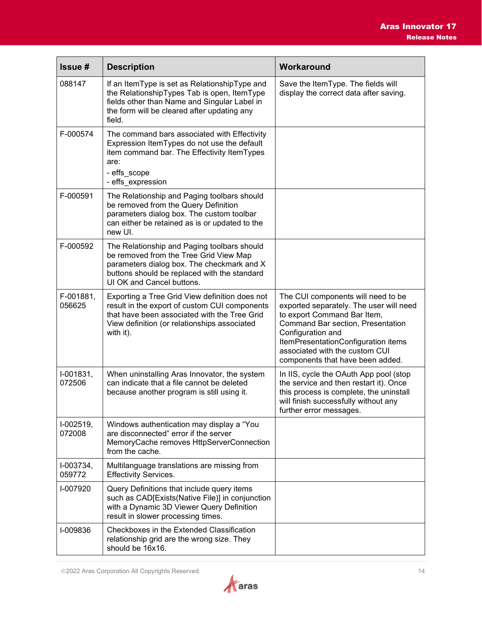| Issue #               | <b>Description</b>                                                                                                                                                                                               | Workaround                                                                                                                                                                                                                                                                          |
|-----------------------|------------------------------------------------------------------------------------------------------------------------------------------------------------------------------------------------------------------|-------------------------------------------------------------------------------------------------------------------------------------------------------------------------------------------------------------------------------------------------------------------------------------|
| 088147                | If an ItemType is set as RelationshipType and<br>the RelationshipTypes Tab is open, ItemType<br>fields other than Name and Singular Label in<br>the form will be cleared after updating any<br>field.            | Save the ItemType. The fields will<br>display the correct data after saving.                                                                                                                                                                                                        |
| F-000574              | The command bars associated with Effectivity<br>Expression ItemTypes do not use the default<br>item command bar. The Effectivity ItemTypes<br>are:<br>- effs_scope<br>- effs_expression                          |                                                                                                                                                                                                                                                                                     |
| F-000591              | The Relationship and Paging toolbars should<br>be removed from the Query Definition<br>parameters dialog box. The custom toolbar<br>can either be retained as is or updated to the<br>new UI.                    |                                                                                                                                                                                                                                                                                     |
| F-000592              | The Relationship and Paging toolbars should<br>be removed from the Tree Grid View Map<br>parameters dialog box. The checkmark and X<br>buttons should be replaced with the standard<br>UI OK and Cancel buttons. |                                                                                                                                                                                                                                                                                     |
| F-001881,<br>056625   | Exporting a Tree Grid View definition does not<br>result in the export of custom CUI components<br>that have been associated with the Tree Grid<br>View definition (or relationships associated<br>with it).     | The CUI components will need to be<br>exported separately. The user will need<br>to export Command Bar Item,<br>Command Bar section, Presentation<br>Configuration and<br>ItemPresentationConfiguration items<br>associated with the custom CUI<br>components that have been added. |
| I-001831,<br>072506   | When uninstalling Aras Innovator, the system<br>can indicate that a file cannot be deleted<br>because another program is still using it.                                                                         | In IIS, cycle the OAuth App pool (stop<br>the service and then restart it). Once<br>this process is complete, the uninstall<br>will finish successfully without any<br>further error messages.                                                                                      |
| $I-002519,$<br>072008 | Windows authentication may display a "You<br>are disconnected" error if the server<br>MemoryCache removes HttpServerConnection<br>from the cache.                                                                |                                                                                                                                                                                                                                                                                     |
| $I-003734,$<br>059772 | Multilanguage translations are missing from<br><b>Effectivity Services.</b>                                                                                                                                      |                                                                                                                                                                                                                                                                                     |
| I-007920              | Query Definitions that include query items<br>such as CAD[Exists(Native File)] in conjunction<br>with a Dynamic 3D Viewer Query Definition<br>result in slower processing times.                                 |                                                                                                                                                                                                                                                                                     |
| I-009836              | Checkboxes in the Extended Classification<br>relationship grid are the wrong size. They<br>should be 16x16.                                                                                                      |                                                                                                                                                                                                                                                                                     |

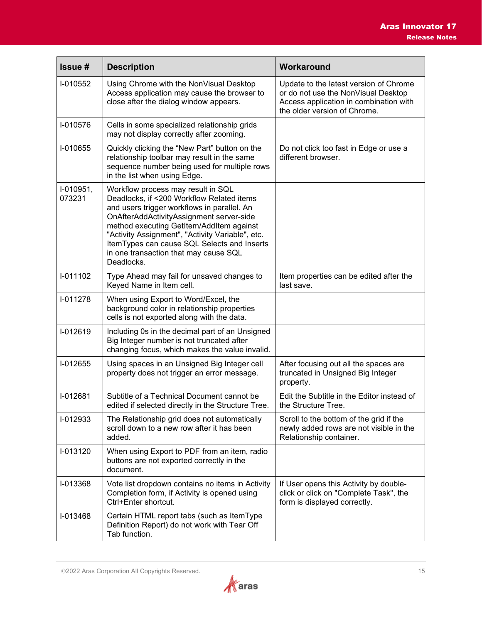| Issue #             | <b>Description</b>                                                                                                                                                                                                                                                                                                                                                               | Workaround                                                                                                                                              |
|---------------------|----------------------------------------------------------------------------------------------------------------------------------------------------------------------------------------------------------------------------------------------------------------------------------------------------------------------------------------------------------------------------------|---------------------------------------------------------------------------------------------------------------------------------------------------------|
| I-010552            | Using Chrome with the NonVisual Desktop<br>Access application may cause the browser to<br>close after the dialog window appears.                                                                                                                                                                                                                                                 | Update to the latest version of Chrome<br>or do not use the NonVisual Desktop<br>Access application in combination with<br>the older version of Chrome. |
| I-010576            | Cells in some specialized relationship grids<br>may not display correctly after zooming.                                                                                                                                                                                                                                                                                         |                                                                                                                                                         |
| I-010655            | Quickly clicking the "New Part" button on the<br>relationship toolbar may result in the same<br>sequence number being used for multiple rows<br>in the list when using Edge.                                                                                                                                                                                                     | Do not click too fast in Edge or use a<br>different browser.                                                                                            |
| I-010951,<br>073231 | Workflow process may result in SQL<br>Deadlocks, if <200 Workflow Related items<br>and users trigger workflows in parallel. An<br>OnAfterAddActivityAssignment server-side<br>method executing GetItem/AddItem against<br>"Activity Assignment", "Activity Variable", etc.<br>ItemTypes can cause SQL Selects and Inserts<br>in one transaction that may cause SQL<br>Deadlocks. |                                                                                                                                                         |
| I-011102            | Type Ahead may fail for unsaved changes to<br>Keyed Name in Item cell.                                                                                                                                                                                                                                                                                                           | Item properties can be edited after the<br>last save.                                                                                                   |
| I-011278            | When using Export to Word/Excel, the<br>background color in relationship properties<br>cells is not exported along with the data.                                                                                                                                                                                                                                                |                                                                                                                                                         |
| I-012619            | Including 0s in the decimal part of an Unsigned<br>Big Integer number is not truncated after<br>changing focus, which makes the value invalid.                                                                                                                                                                                                                                   |                                                                                                                                                         |
| I-012655            | Using spaces in an Unsigned Big Integer cell<br>property does not trigger an error message.                                                                                                                                                                                                                                                                                      | After focusing out all the spaces are<br>truncated in Unsigned Big Integer<br>property.                                                                 |
| I-012681            | Subtitle of a Technical Document cannot be<br>edited if selected directly in the Structure Tree.                                                                                                                                                                                                                                                                                 | Edit the Subtitle in the Editor instead of<br>the Structure Tree.                                                                                       |
| I-012933            | The Relationship grid does not automatically<br>scroll down to a new row after it has been<br>added.                                                                                                                                                                                                                                                                             | Scroll to the bottom of the grid if the<br>newly added rows are not visible in the<br>Relationship container.                                           |
| I-013120            | When using Export to PDF from an item, radio<br>buttons are not exported correctly in the<br>document.                                                                                                                                                                                                                                                                           |                                                                                                                                                         |
| I-013368            | Vote list dropdown contains no items in Activity<br>Completion form, if Activity is opened using<br>Ctrl+Enter shortcut.                                                                                                                                                                                                                                                         | If User opens this Activity by double-<br>click or click on "Complete Task", the<br>form is displayed correctly.                                        |
| I-013468            | Certain HTML report tabs (such as ItemType<br>Definition Report) do not work with Tear Off<br>Tab function.                                                                                                                                                                                                                                                                      |                                                                                                                                                         |

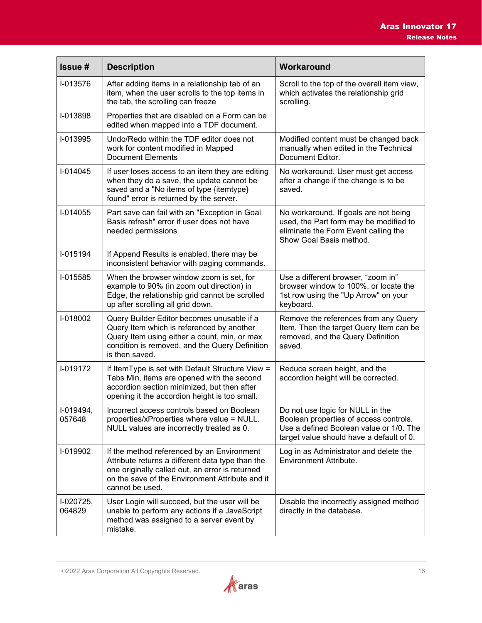| Issue #               | <b>Description</b>                                                                                                                                                                                                      | Workaround                                                                                                                                                        |
|-----------------------|-------------------------------------------------------------------------------------------------------------------------------------------------------------------------------------------------------------------------|-------------------------------------------------------------------------------------------------------------------------------------------------------------------|
| I-013576              | After adding items in a relationship tab of an<br>item, when the user scrolls to the top items in<br>the tab, the scrolling can freeze                                                                                  | Scroll to the top of the overall item view,<br>which activates the relationship grid<br>scrolling.                                                                |
| I-013898              | Properties that are disabled on a Form can be<br>edited when mapped into a TDF document.                                                                                                                                |                                                                                                                                                                   |
| I-013995              | Undo/Redo within the TDF editor does not<br>work for content modified in Mapped<br><b>Document Elements</b>                                                                                                             | Modified content must be changed back<br>manually when edited in the Technical<br>Document Editor.                                                                |
| I-014045              | If user loses access to an item they are editing<br>when they do a save, the update cannot be<br>saved and a "No items of type {itemtype}<br>found" error is returned by the server.                                    | No workaround. User must get access<br>after a change if the change is to be<br>saved.                                                                            |
| I-014055              | Part save can fail with an "Exception in Goal<br>Basis refresh" error if user does not have<br>needed permissions                                                                                                       | No workaround. If goals are not being<br>used, the Part form may be modified to<br>eliminate the Form Event calling the<br>Show Goal Basis method.                |
| I-015194              | If Append Results is enabled, there may be<br>inconsistent behavior with paging commands.                                                                                                                               |                                                                                                                                                                   |
| I-015585              | When the browser window zoom is set, for<br>example to 90% (in zoom out direction) in<br>Edge, the relationship grid cannot be scrolled<br>up after scrolling all grid down.                                            | Use a different browser, "zoom in"<br>browser window to 100%, or locate the<br>1st row using the "Up Arrow" on your<br>keyboard.                                  |
| I-018002              | Query Builder Editor becomes unusable if a<br>Query Item which is referenced by another<br>Query Item using either a count, min, or max<br>condition is removed, and the Query Definition<br>is then saved.             | Remove the references from any Query<br>Item. Then the target Query Item can be<br>removed, and the Query Definition<br>saved.                                    |
| I-019172              | If ItemType is set with Default Structure View =<br>Tabs Min, items are opened with the second<br>accordion section minimized, but then after<br>opening it the accordion height is too small.                          | Reduce screen height, and the<br>accordion height will be corrected.                                                                                              |
| I-019494,<br>057648   | Incorrect access controls based on Boolean<br>properties/xProperties where value = NULL.<br>NULL values are incorrectly treated as 0.                                                                                   | Do not use logic for NULL in the<br>Boolean properties of access controls.<br>Use a defined Boolean value or 1/0. The<br>target value should have a default of 0. |
| I-019902              | If the method referenced by an Environment<br>Attribute returns a different data type than the<br>one originally called out, an error is returned<br>on the save of the Environment Attribute and it<br>cannot be used. | Log in as Administrator and delete the<br>Environment Attribute.                                                                                                  |
| $I-020725,$<br>064829 | User Login will succeed, but the user will be<br>unable to perform any actions if a JavaScript<br>method was assigned to a server event by<br>mistake.                                                                  | Disable the incorrectly assigned method<br>directly in the database.                                                                                              |

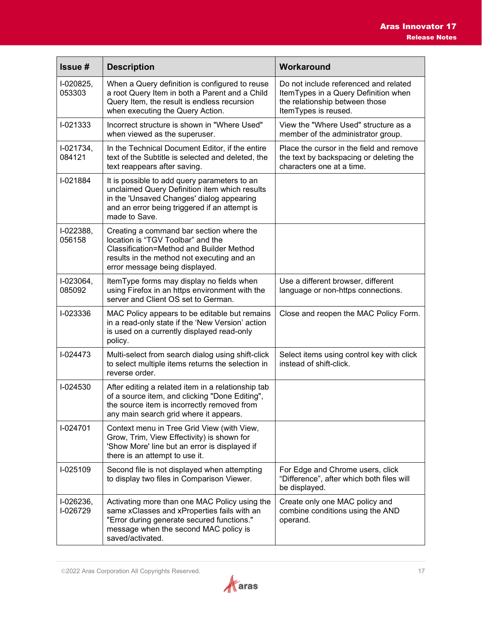| Issue #               | <b>Description</b>                                                                                                                                                                                           | Workaround                                                                                                                              |
|-----------------------|--------------------------------------------------------------------------------------------------------------------------------------------------------------------------------------------------------------|-----------------------------------------------------------------------------------------------------------------------------------------|
| I-020825,<br>053303   | When a Query definition is configured to reuse<br>a root Query Item in both a Parent and a Child<br>Query Item, the result is endless recursion<br>when executing the Query Action.                          | Do not include referenced and related<br>ItemTypes in a Query Definition when<br>the relationship between those<br>ItemTypes is reused. |
| I-021333              | Incorrect structure is shown in "Where Used"<br>when viewed as the superuser.                                                                                                                                | View the "Where Used" structure as a<br>member of the administrator group.                                                              |
| I-021734,<br>084121   | In the Technical Document Editor, if the entire<br>text of the Subtitle is selected and deleted, the<br>text reappears after saving.                                                                         | Place the cursor in the field and remove<br>the text by backspacing or deleting the<br>characters one at a time.                        |
| I-021884              | It is possible to add query parameters to an<br>unclaimed Query Definition item which results<br>in the 'Unsaved Changes' dialog appearing<br>and an error being triggered if an attempt is<br>made to Save. |                                                                                                                                         |
| I-022388,<br>056158   | Creating a command bar section where the<br>location is "TGV Toolbar" and the<br>Classification=Method and Builder Method<br>results in the method not executing and an<br>error message being displayed.    |                                                                                                                                         |
| I-023064,<br>085092   | ItemType forms may display no fields when<br>using Firefox in an https environment with the<br>server and Client OS set to German.                                                                           | Use a different browser, different<br>language or non-https connections.                                                                |
| I-023336              | MAC Policy appears to be editable but remains<br>in a read-only state if the 'New Version' action<br>is used on a currently displayed read-only<br>policy.                                                   | Close and reopen the MAC Policy Form.                                                                                                   |
| I-024473              | Multi-select from search dialog using shift-click<br>to select multiple items returns the selection in<br>reverse order.                                                                                     | Select items using control key with click<br>instead of shift-click.                                                                    |
| I-024530              | After editing a related item in a relationship tab<br>of a source item, and clicking "Done Editing",<br>the source item is incorrectly removed from<br>any main search grid where it appears.                |                                                                                                                                         |
| I-024701              | Context menu in Tree Grid View (with View,<br>Grow, Trim, View Effectivity) is shown for<br>'Show More' line but an error is displayed if<br>there is an attempt to use it.                                  |                                                                                                                                         |
| I-025109              | Second file is not displayed when attempting<br>to display two files in Comparison Viewer.                                                                                                                   | For Edge and Chrome users, click<br>"Difference", after which both files will<br>be displayed.                                          |
| I-026236,<br>I-026729 | Activating more than one MAC Policy using the<br>same xClasses and xProperties fails with an<br>"Error during generate secured functions."<br>message when the second MAC policy is<br>saved/activated.      | Create only one MAC policy and<br>combine conditions using the AND<br>operand.                                                          |